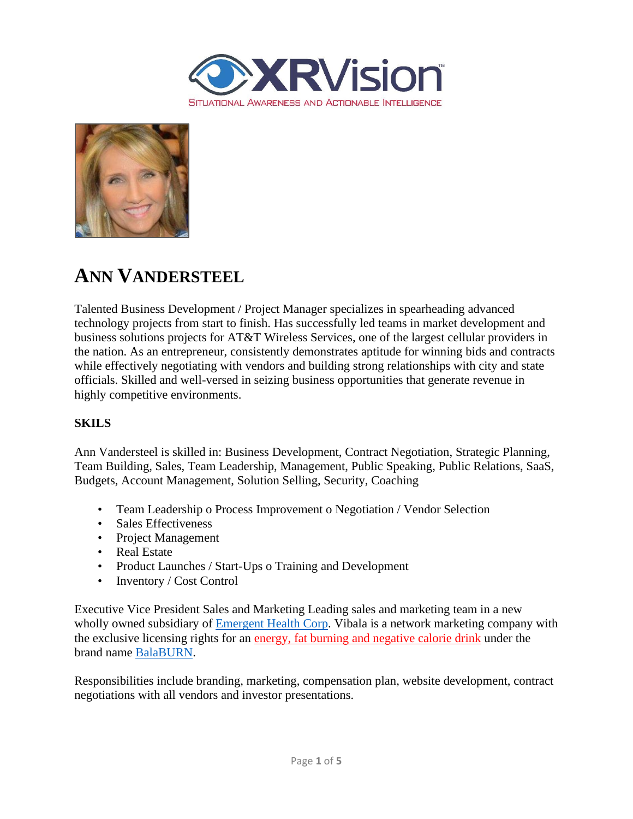



# **ANN VANDERSTEEL**

Talented Business Development / Project Manager specializes in spearheading advanced technology projects from start to finish. Has successfully led teams in market development and business solutions projects for AT&T Wireless Services, one of the largest cellular providers in the nation. As an entrepreneur, consistently demonstrates aptitude for winning bids and contracts while effectively negotiating with vendors and building strong relationships with city and state officials. Skilled and well-versed in seizing business opportunities that generate revenue in highly competitive environments.

### **SKILS**

Ann Vandersteel is skilled in: Business Development, Contract Negotiation, Strategic Planning, Team Building, Sales, Team Leadership, Management, Public Speaking, Public Relations, SaaS, Budgets, Account Management, Solution Selling, Security, Coaching

- Team Leadership o Process Improvement o Negotiation / Vendor Selection
- Sales Effectiveness
- Project Management
- Real Estate
- Product Launches / Start-Ups o Training and Development
- Inventory / Cost Control

Executive Vice President Sales and Marketing Leading sales and marketing team in a new wholly owned subsidiary of [Emergent Health Corp.](https://finance.yahoo.com/quote/EMGE/profile/) Vibala is a network marketing company with the exclusive licensing rights for an energy, fat burning and negative calorie drink under the brand name [BalaBURN.](https://www.facebook.com/Balaburn-1680225788859715/)

Responsibilities include branding, marketing, compensation plan, website development, contract negotiations with all vendors and investor presentations.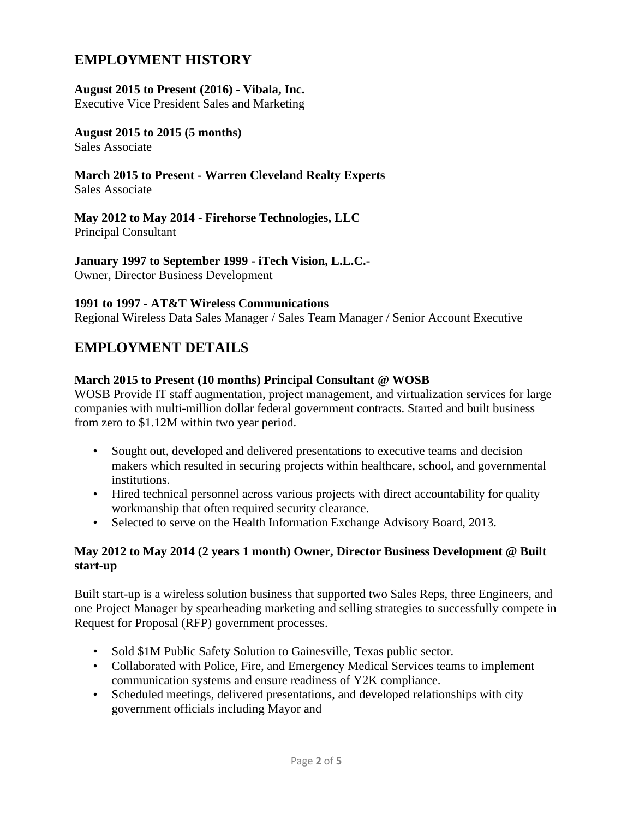# **EMPLOYMENT HISTORY**

### **August 2015 to Present (2016) - Vibala, Inc.**

Executive Vice President Sales and Marketing

#### **August 2015 to 2015 (5 months)**  Sales Associate

#### **March 2015 to Present - Warren Cleveland Realty Experts** Sales Associate

## **May 2012 to May 2014 - Firehorse Technologies, LLC**

Principal Consultant

**January 1997 to September 1999 - iTech Vision, L.L.C.-** Owner, Director Business Development

### **1991 to 1997 - AT&T Wireless Communications**

Regional Wireless Data Sales Manager / Sales Team Manager / Senior Account Executive

### **EMPLOYMENT DETAILS**

### **March 2015 to Present (10 months) Principal Consultant @ WOSB**

WOSB Provide IT staff augmentation, project management, and virtualization services for large companies with multi-million dollar federal government contracts. Started and built business from zero to \$1.12M within two year period.

- Sought out, developed and delivered presentations to executive teams and decision makers which resulted in securing projects within healthcare, school, and governmental institutions.
- Hired technical personnel across various projects with direct accountability for quality workmanship that often required security clearance.
- Selected to serve on the Health Information Exchange Advisory Board, 2013.

### **May 2012 to May 2014 (2 years 1 month) Owner, Director Business Development @ Built start-up**

Built start-up is a wireless solution business that supported two Sales Reps, three Engineers, and one Project Manager by spearheading marketing and selling strategies to successfully compete in Request for Proposal (RFP) government processes.

- Sold \$1M Public Safety Solution to Gainesville, Texas public sector.
- Collaborated with Police, Fire, and Emergency Medical Services teams to implement communication systems and ensure readiness of Y2K compliance.
- Scheduled meetings, delivered presentations, and developed relationships with city government officials including Mayor and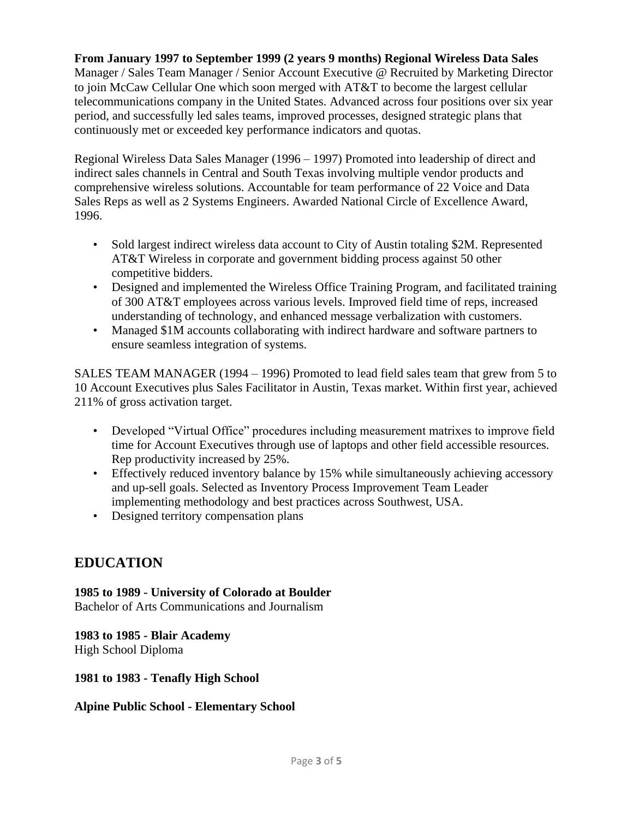### **From January 1997 to September 1999 (2 years 9 months) Regional Wireless Data Sales**

Manager / Sales Team Manager / Senior Account Executive @ Recruited by Marketing Director to join McCaw Cellular One which soon merged with AT&T to become the largest cellular telecommunications company in the United States. Advanced across four positions over six year period, and successfully led sales teams, improved processes, designed strategic plans that continuously met or exceeded key performance indicators and quotas.

Regional Wireless Data Sales Manager (1996 – 1997) Promoted into leadership of direct and indirect sales channels in Central and South Texas involving multiple vendor products and comprehensive wireless solutions. Accountable for team performance of 22 Voice and Data Sales Reps as well as 2 Systems Engineers. Awarded National Circle of Excellence Award, 1996.

- Sold largest indirect wireless data account to City of Austin totaling \$2M. Represented AT&T Wireless in corporate and government bidding process against 50 other competitive bidders.
- Designed and implemented the Wireless Office Training Program, and facilitated training of 300 AT&T employees across various levels. Improved field time of reps, increased understanding of technology, and enhanced message verbalization with customers.
- Managed \$1M accounts collaborating with indirect hardware and software partners to ensure seamless integration of systems.

SALES TEAM MANAGER (1994 – 1996) Promoted to lead field sales team that grew from 5 to 10 Account Executives plus Sales Facilitator in Austin, Texas market. Within first year, achieved 211% of gross activation target.

- Developed "Virtual Office" procedures including measurement matrixes to improve field time for Account Executives through use of laptops and other field accessible resources. Rep productivity increased by 25%.
- Effectively reduced inventory balance by 15% while simultaneously achieving accessory and up-sell goals. Selected as Inventory Process Improvement Team Leader implementing methodology and best practices across Southwest, USA.
- Designed territory compensation plans

### **EDUCATION**

**1985 to 1989 - University of Colorado at Boulder** Bachelor of Arts Communications and Journalism

**1983 to 1985 - Blair Academy** High School Diploma

**1981 to 1983 - Tenafly High School**

### **Alpine Public School - Elementary School**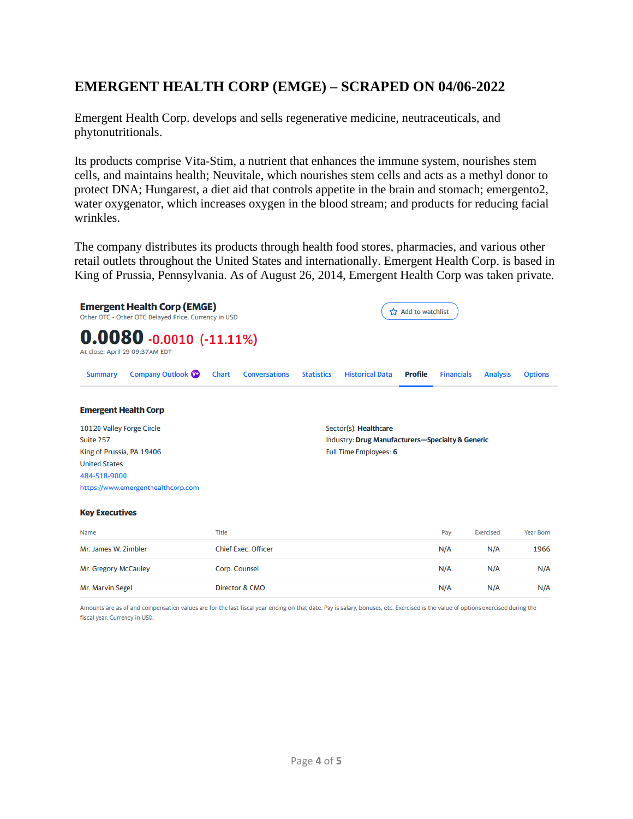# **EMERGENT HEALTH CORP (EMGE) – SCRAPED ON 04/06-2022**

Emergent Health Corp. develops and sells regenerative medicine, neutraceuticals, and phytonutritionals.

Its products comprise Vita-Stim, a nutrient that enhances the immune system, nourishes stem cells, and maintains health; Neuvitale, which nourishes stem cells and acts as a methyl donor to protect DNA; Hungarest, a diet aid that controls appetite in the brain and stomach; emergento2, water oxygenator, which increases oxygen in the blood stream; and products for reducing facial wrinkles.

The company distributes its products through health food stores, pharmacies, and various other retail outlets throughout the United States and internationally. Emergent Health Corp. is based in King of Prussia, Pennsylvania. As of August 26, 2014, Emergent Health Corp was taken private.



Amounts are as of and compensation values are for the last fiscal year ending on that date. Pay is salary, bonuses, etc. Exercised is the value of options exercised during the fiscal year. Currency in USD.